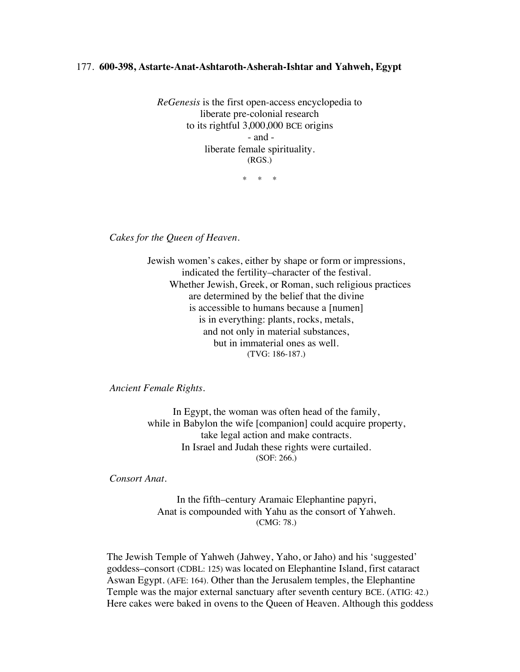## 177. **600-398, Astarte-Anat-Ashtaroth-Asherah-Ishtar and Yahweh, Egypt**

*ReGenesis* is the first open-access encyclopedia to liberate pre-colonial research to its rightful 3,000,000 BCE origins - and liberate female spirituality. (RGS.)

\* \* \*

*Cakes for the Queen of Heaven.*

Jewish women's cakes, either by shape or form or impressions, indicated the fertility–character of the festival. Whether Jewish, Greek, or Roman, such religious practices are determined by the belief that the divine is accessible to humans because a [numen] is in everything: plants, rocks, metals, and not only in material substances, but in immaterial ones as well. (TVG: 186-187.)

*Ancient Female Rights.*

In Egypt, the woman was often head of the family, while in Babylon the wife [companion] could acquire property, take legal action and make contracts. In Israel and Judah these rights were curtailed. (SOF: 266.)

*Consort Anat.*

In the fifth–century Aramaic Elephantine papyri, Anat is compounded with Yahu as the consort of Yahweh. (CMG: 78.)

The Jewish Temple of Yahweh (Jahwey, Yaho, or Jaho) and his 'suggested' goddess–consort (CDBL: 125) was located on Elephantine Island, first cataract Aswan Egypt. (AFE: 164). Other than the Jerusalem temples, the Elephantine Temple was the major external sanctuary after seventh century BCE. (ATIG: 42.) Here cakes were baked in ovens to the Queen of Heaven. Although this goddess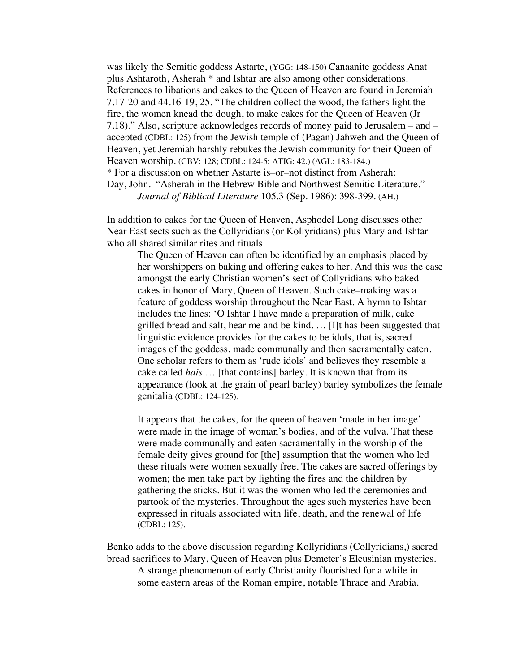was likely the Semitic goddess Astarte, (YGG: 148-150) Canaanite goddess Anat plus Ashtaroth, Asherah \* and Ishtar are also among other considerations. References to libations and cakes to the Queen of Heaven are found in Jeremiah 7.17-20 and 44.16-19, 25. "The children collect the wood, the fathers light the fire, the women knead the dough, to make cakes for the Queen of Heaven (Jr 7.18)." Also, scripture acknowledges records of money paid to Jerusalem – and – accepted (CDBL: 125) from the Jewish temple of (Pagan) Jahweh and the Queen of Heaven, yet Jeremiah harshly rebukes the Jewish community for their Queen of Heaven worship. (CBV: 128; CDBL: 124-5; ATIG: 42.) (AGL: 183-184.) \* For a discussion on whether Astarte is–or–not distinct from Asherah: Day, John. "Asherah in the Hebrew Bible and Northwest Semitic Literature." *Journal of Biblical Literature* 105.3 (Sep. 1986): 398-399. (AH.)

In addition to cakes for the Queen of Heaven, Asphodel Long discusses other Near East sects such as the Collyridians (or Kollyridians) plus Mary and Ishtar who all shared similar rites and rituals.

The Queen of Heaven can often be identified by an emphasis placed by her worshippers on baking and offering cakes to her. And this was the case amongst the early Christian women's sect of Collyridians who baked cakes in honor of Mary, Queen of Heaven. Such cake–making was a feature of goddess worship throughout the Near East. A hymn to Ishtar includes the lines: 'O Ishtar I have made a preparation of milk, cake grilled bread and salt, hear me and be kind. … [I]t has been suggested that linguistic evidence provides for the cakes to be idols, that is, sacred images of the goddess, made communally and then sacramentally eaten. One scholar refers to them as 'rude idols' and believes they resemble a cake called *hais* … [that contains] barley. It is known that from its appearance (look at the grain of pearl barley) barley symbolizes the female genitalia (CDBL: 124-125).

It appears that the cakes, for the queen of heaven 'made in her image' were made in the image of woman's bodies, and of the vulva. That these were made communally and eaten sacramentally in the worship of the female deity gives ground for [the] assumption that the women who led these rituals were women sexually free. The cakes are sacred offerings by women; the men take part by lighting the fires and the children by gathering the sticks. But it was the women who led the ceremonies and partook of the mysteries. Throughout the ages such mysteries have been expressed in rituals associated with life, death, and the renewal of life (CDBL: 125).

Benko adds to the above discussion regarding Kollyridians (Collyridians,) sacred bread sacrifices to Mary, Queen of Heaven plus Demeter's Eleusinian mysteries. A strange phenomenon of early Christianity flourished for a while in some eastern areas of the Roman empire, notable Thrace and Arabia.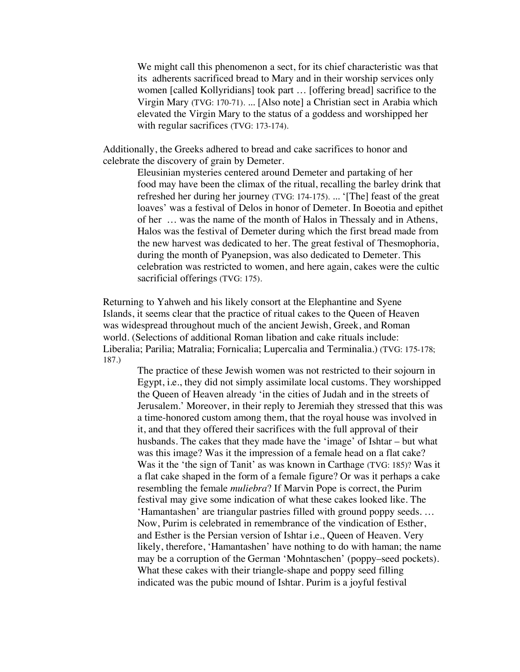We might call this phenomenon a sect, for its chief characteristic was that its adherents sacrificed bread to Mary and in their worship services only women [called Kollyridians] took part … [offering bread] sacrifice to the Virgin Mary (TVG: 170-71). ... [Also note] a Christian sect in Arabia which elevated the Virgin Mary to the status of a goddess and worshipped her with regular sacrifices (TVG: 173-174).

Additionally, the Greeks adhered to bread and cake sacrifices to honor and celebrate the discovery of grain by Demeter.

> Eleusinian mysteries centered around Demeter and partaking of her food may have been the climax of the ritual, recalling the barley drink that refreshed her during her journey (TVG: 174-175). ... '[The] feast of the great loaves' was a festival of Delos in honor of Demeter. In Boeotia and epithet of her … was the name of the month of Halos in Thessaly and in Athens, Halos was the festival of Demeter during which the first bread made from the new harvest was dedicated to her. The great festival of Thesmophoria, during the month of Pyanepsion, was also dedicated to Demeter. This celebration was restricted to women, and here again, cakes were the cultic sacrificial offerings (TVG: 175).

Returning to Yahweh and his likely consort at the Elephantine and Syene Islands, it seems clear that the practice of ritual cakes to the Queen of Heaven was widespread throughout much of the ancient Jewish, Greek, and Roman world. (Selections of additional Roman libation and cake rituals include: Liberalia; Parilia; Matralia; Fornicalia; Lupercalia and Terminalia.) (TVG: 175-178; 187.)

The practice of these Jewish women was not restricted to their sojourn in Egypt, i.e., they did not simply assimilate local customs. They worshipped the Queen of Heaven already 'in the cities of Judah and in the streets of Jerusalem.' Moreover, in their reply to Jeremiah they stressed that this was a time-honored custom among them, that the royal house was involved in it, and that they offered their sacrifices with the full approval of their husbands. The cakes that they made have the 'image' of Ishtar – but what was this image? Was it the impression of a female head on a flat cake? Was it the 'the sign of Tanit' as was known in Carthage (TVG: 185)? Was it a flat cake shaped in the form of a female figure? Or was it perhaps a cake resembling the female *muliebra*? If Marvin Pope is correct, the Purim festival may give some indication of what these cakes looked like. The 'Hamantashen' are triangular pastries filled with ground poppy seeds. … Now, Purim is celebrated in remembrance of the vindication of Esther, and Esther is the Persian version of Ishtar i.e., Queen of Heaven. Very likely, therefore, 'Hamantashen' have nothing to do with haman; the name may be a corruption of the German 'Mohntaschen' (poppy–seed pockets). What these cakes with their triangle-shape and poppy seed filling indicated was the pubic mound of Ishtar. Purim is a joyful festival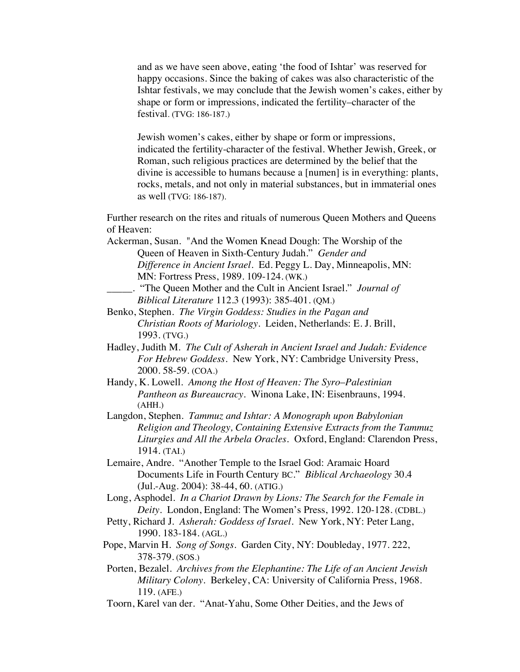and as we have seen above, eating 'the food of Ishtar' was reserved for happy occasions. Since the baking of cakes was also characteristic of the Ishtar festivals, we may conclude that the Jewish women's cakes, either by shape or form or impressions, indicated the fertility–character of the festival. (TVG: 186-187.)

Jewish women's cakes, either by shape or form or impressions, indicated the fertility-character of the festival. Whether Jewish, Greek, or Roman, such religious practices are determined by the belief that the divine is accessible to humans because a [numen] is in everything: plants, rocks, metals, and not only in material substances, but in immaterial ones as well (TVG: 186-187).

Further research on the rites and rituals of numerous Queen Mothers and Queens of Heaven:

- Ackerman, Susan. "And the Women Knead Dough: The Worship of the Queen of Heaven in Sixth-Century Judah." *Gender and Difference in Ancient Israel*. Ed. Peggy L. Day, Minneapolis, MN: MN: Fortress Press, 1989. 109-124. (WK.)
- \_\_\_\_\_. "The Queen Mother and the Cult in Ancient Israel." *Journal of Biblical Literature* 112.3 (1993): 385-401. (QM.)
- Benko, Stephen. *The Virgin Goddess: Studies in the Pagan and Christian Roots of Mariology.* Leiden, Netherlands: E. J. Brill, 1993. (TVG.)
- Hadley, Judith M. *The Cult of Asherah in Ancient Israel and Judah: Evidence For Hebrew Goddess*. New York, NY: Cambridge University Press, 2000. 58-59. (COA.)
- Handy, K. Lowell. *Among the Host of Heaven: The Syro*–*Palestinian Pantheon as Bureaucracy*. Winona Lake, IN: Eisenbrauns, 1994. (AHH.)

Langdon, Stephen. *Tammuz and Ishtar: A Monograph upon Babylonian Religion and Theology, Containing Extensive Extracts from the Tammuz Liturgies and All the Arbela Oracles.* Oxford, England: Clarendon Press, 1914. (TAI.)

- Lemaire, Andre. "Another Temple to the Israel God: Aramaic Hoard Documents Life in Fourth Century BC." *Biblical Archaeology* 30.4 (Jul.-Aug. 2004): 38-44, 60. (ATIG.)
- Long, Asphodel. *In a Chariot Drawn by Lions: The Search for the Female in Deity.* London, England: The Women's Press, 1992. 120-128. (CDBL.)
- Petty, Richard J*. Asherah: Goddess of Israel*. New York, NY: Peter Lang, 1990. 183-184. (AGL.)
- Pope, Marvin H. *Song of Songs*. Garden City, NY: Doubleday, 1977. 222, 378-379. (SOS.)
- Porten, Bezalel. *Archives from the Elephantine: The Life of an Ancient Jewish Military Colony.* Berkeley, CA: University of California Press, 1968. 119. (AFE.)
- Toorn, Karel van der. "Anat-Yahu, Some Other Deities, and the Jews of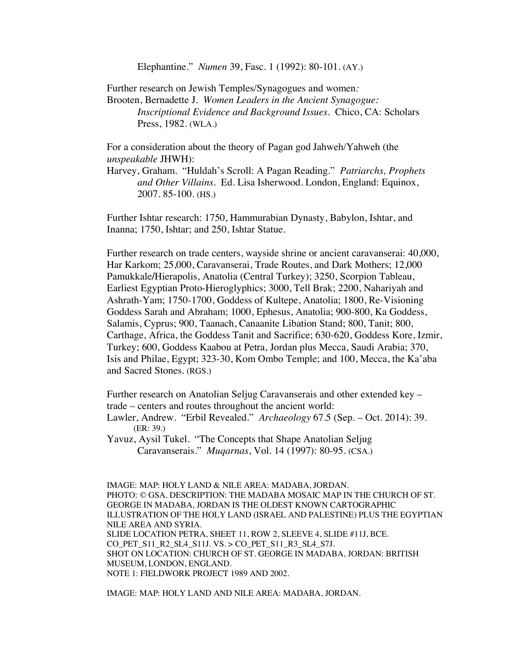Elephantine." *Numen* 39, Fasc. 1 (1992): 80-101. (AY.)

Further research on Jewish Temples/Synagogues and women*:* Brooten, Bernadette J. *Women Leaders in the Ancient Synagogue: Inscriptional Evidence and Background Issues*. Chico, CA: Scholars Press, 1982. (WLA.)

For a consideration about the theory of Pagan god Jahweh/Yahweh (the *unspeakable* JHWH):

Harvey, Graham. "Huldah's Scroll: A Pagan Reading." *Patriarchs, Prophets and Other Villains*. Ed. Lisa Isherwood. London, England: Equinox, 2007. 85-100. (HS.)

Further Ishtar research: 1750, Hammurabian Dynasty, Babylon, Ishtar, and Inanna; 1750, Ishtar; and 250, Ishtar Statue.

Further research on trade centers, wayside shrine or ancient caravanserai: 40,000, Har Karkom; 25,000, Caravanserai, Trade Routes, and Dark Mothers; 12,000 Pamukkale*/*Hierapolis, Anatolia (Central Turkey); 3250, Scorpion Tableau, Earliest Egyptian Proto-Hieroglyphics; 3000, Tell Brak; 2200, Nahariyah and Ashrath-Yam; 1750-1700, Goddess of Kultepe, Anatolia; 1800, Re-Visioning Goddess Sarah and Abraham; 1000, Ephesus, Anatolia; 900-800, Ka Goddess, Salamis, Cyprus; 900, Taanach, Canaanite Libation Stand; 800, Tanit; 800, Carthage, Africa, the Goddess Tanit and Sacrifice; 630-620, Goddess Kore, Izmir, Turkey; 600, Goddess Kaabou at Petra, Jordan plus Mecca, Saudi Arabia; 370, Isis and Philae, Egypt; 323-30, Kom Ombo Temple; and 100, Mecca, the Ka'aba and Sacred Stones. (RGS.)

Further research on Anatolian Seljug Caravanserais and other extended key – trade – centers and routes throughout the ancient world:

Lawler, Andrew. "Erbil Revealed." *Archaeology* 67.5 (Sep. – Oct. 2014): 39. (ER: 39.)

Yavuz, Aysil Tukel. "The Concepts that Shape Anatolian Seljug Caravanserais." *Muqarnas*, Vol. 14 (1997): 80-95. (CSA.)

IMAGE: MAP: HOLY LAND & NILE AREA: MADABA, JORDAN. PHOTO: © GSA. DESCRIPTION: THE MADABA MOSAIC MAP IN THE CHURCH OF ST. GEORGE IN MADABA, JORDAN IS THE OLDEST KNOWN CARTOGRAPHIC ILLUSTRATION OF THE HOLY LAND (ISRAEL AND PALESTINE) PLUS THE EGYPTIAN NILE AREA AND SYRIA. SLIDE LOCATION PETRA, SHEET 11, ROW 2, SLEEVE 4, SLIDE #11J, BCE. CO PET S11 R2 SL4 S11J. VS. > CO PET S11 R3 SL4 S7J. SHOT ON LOCATION: CHURCH OF ST. GEORGE IN MADABA, JORDAN: BRITISH MUSEUM, LONDON, ENGLAND. NOTE 1: FIELDWORK PROJECT 1989 AND 2002.

IMAGE: MAP: HOLY LAND AND NILE AREA: MADABA, JORDAN.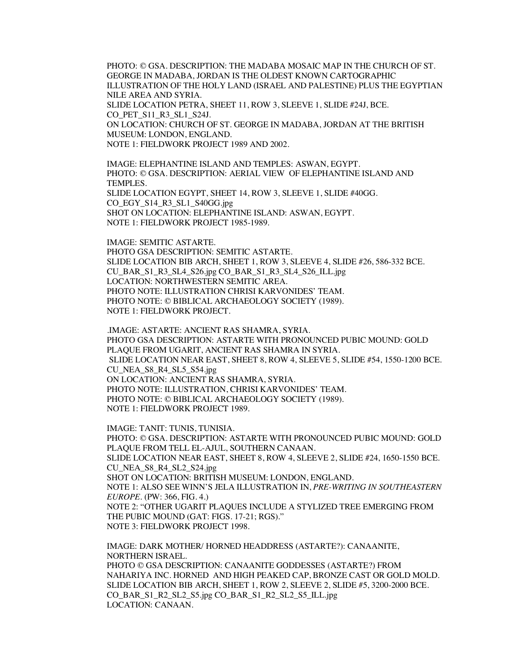PHOTO: © GSA. DESCRIPTION: THE MADABA MOSAIC MAP IN THE CHURCH OF ST. GEORGE IN MADABA, JORDAN IS THE OLDEST KNOWN CARTOGRAPHIC ILLUSTRATION OF THE HOLY LAND (ISRAEL AND PALESTINE) PLUS THE EGYPTIAN NILE AREA AND SYRIA. SLIDE LOCATION PETRA, SHEET 11, ROW 3, SLEEVE 1, SLIDE #24J, BCE. CO PET S11 R3 SL1 S24J. ON LOCATION: CHURCH OF ST. GEORGE IN MADABA, JORDAN AT THE BRITISH MUSEUM: LONDON, ENGLAND. NOTE 1: FIELDWORK PROJECT 1989 AND 2002.

IMAGE: ELEPHANTINE ISLAND AND TEMPLES: ASWAN, EGYPT. PHOTO: © GSA. DESCRIPTION: AERIAL VIEW OF ELEPHANTINE ISLAND AND TEMPLES. SLIDE LOCATION EGYPT, SHEET 14, ROW 3, SLEEVE 1, SLIDE #40GG. CO\_EGY\_S14\_R3\_SL1\_S40GG.jpg SHOT ON LOCATION: ELEPHANTINE ISLAND: ASWAN, EGYPT. NOTE 1: FIELDWORK PROJECT 1985-1989.

IMAGE: SEMITIC ASTARTE. PHOTO GSA DESCRIPTION: SEMITIC ASTARTE. SLIDE LOCATION BIB ARCH, SHEET 1, ROW 3, SLEEVE 4, SLIDE #26, 586-332 BCE. CU\_BAR\_S1\_R3\_SL4\_S26.jpg CO\_BAR\_S1\_R3\_SL4\_S26\_ILL.jpg LOCATION: NORTHWESTERN SEMITIC AREA. PHOTO NOTE: ILLUSTRATION CHRISI KARVONIDES' TEAM. PHOTO NOTE: © BIBLICAL ARCHAEOLOGY SOCIETY (1989). NOTE 1: FIELDWORK PROJECT.

.IMAGE: ASTARTE: ANCIENT RAS SHAMRA, SYRIA. PHOTO GSA DESCRIPTION: ASTARTE WITH PRONOUNCED PUBIC MOUND: GOLD PLAQUE FROM UGARIT, ANCIENT RAS SHAMRA IN SYRIA. SLIDE LOCATION NEAR EAST, SHEET 8, ROW 4, SLEEVE 5, SLIDE #54, 1550-1200 BCE. CU\_NEA\_S8\_R4\_SL5\_S54.jpg ON LOCATION: ANCIENT RAS SHAMRA, SYRIA. PHOTO NOTE: ILLUSTRATION, CHRISI KARVONIDES' TEAM. PHOTO NOTE: © BIBLICAL ARCHAEOLOGY SOCIETY (1989). NOTE 1: FIELDWORK PROJECT 1989.

IMAGE: TANIT: TUNIS, TUNISIA. PHOTO: © GSA. DESCRIPTION: ASTARTE WITH PRONOUNCED PUBIC MOUND: GOLD PLAQUE FROM TELL EL-AJUL, SOUTHERN CANAAN. SLIDE LOCATION NEAR EAST, SHEET 8, ROW 4, SLEEVE 2, SLIDE #24, 1650-1550 BCE. CU\_NEA\_S8\_R4\_SL2\_S24.jpg SHOT ON LOCATION: BRITISH MUSEUM: LONDON, ENGLAND. NOTE 1: ALSO SEE WINN'S JELA ILLUSTRATION IN, *PRE-WRITING IN SOUTHEASTERN EUROPE*. (PW: 366, FIG. 4.) NOTE 2: "OTHER UGARIT PLAQUES INCLUDE A STYLIZED TREE EMERGING FROM THE PUBIC MOUND (GAT: FIGS. 17-21; RGS)." NOTE 3: FIELDWORK PROJECT 1998.

IMAGE: DARK MOTHER/ HORNED HEADDRESS (ASTARTE?): CANAANITE, NORTHERN ISRAEL. PHOTO © GSA DESCRIPTION: CANAANITE GODDESSES (ASTARTE?) FROM NAHARIYA INC. HORNED AND HIGH PEAKED CAP, BRONZE CAST OR GOLD MOLD. SLIDE LOCATION BIB ARCH, SHEET 1, ROW 2, SLEEVE 2, SLIDE #5, 3200-2000 BCE. CO\_BAR\_S1\_R2\_SL2\_S5.jpg CO\_BAR\_S1\_R2\_SL2\_S5\_ILL.jpg LOCATION: CANAAN.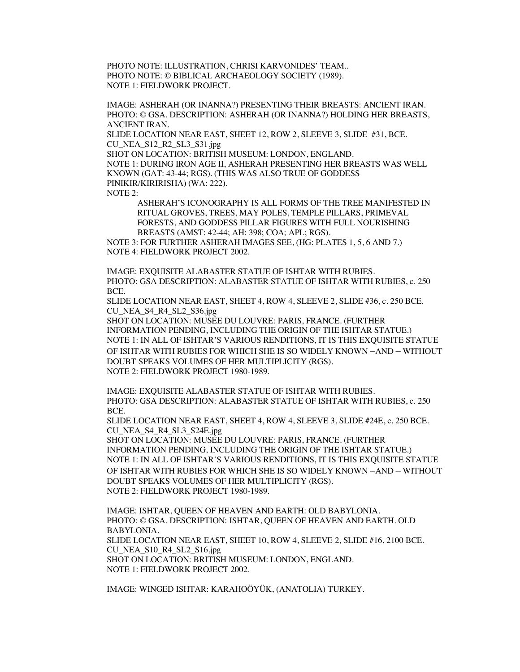PHOTO NOTE: ILLUSTRATION, CHRISI KARVONIDES' TEAM.. PHOTO NOTE: © BIBLICAL ARCHAEOLOGY SOCIETY (1989). NOTE 1: FIELDWORK PROJECT.

IMAGE: ASHERAH (OR INANNA?) PRESENTING THEIR BREASTS: ANCIENT IRAN. PHOTO: © GSA. DESCRIPTION: ASHERAH (OR INANNA?) HOLDING HER BREASTS, ANCIENT IRAN. SLIDE LOCATION NEAR EAST, SHEET 12, ROW 2, SLEEVE 3, SLIDE #31, BCE.

CU\_NEA\_S12\_R2\_SL3\_S31.jpg

SHOT ON LOCATION: BRITISH MUSEUM: LONDON, ENGLAND. NOTE 1: DURING IRON AGE II, ASHERAH PRESENTING HER BREASTS WAS WELL KNOWN (GAT: 43-44; RGS). (THIS WAS ALSO TRUE OF GODDESS PINIKIR/KIRIRISHA) (WA: 222).

NOTE 2:

ASHERAH'S ICONOGRAPHY IS ALL FORMS OF THE TREE MANIFESTED IN RITUAL GROVES, TREES, MAY POLES, TEMPLE PILLARS, PRIMEVAL FORESTS, AND GODDESS PILLAR FIGURES WITH FULL NOURISHING BREASTS (AMST: 42-44; AH: 398; COA; APL; RGS).

NOTE 3: FOR FURTHER ASHERAH IMAGES SEE, (HG: PLATES 1, 5, 6 AND 7.) NOTE 4: FIELDWORK PROJECT 2002.

IMAGE: EXQUISITE ALABASTER STATUE OF ISHTAR WITH RUBIES. PHOTO: GSA DESCRIPTION: ALABASTER STATUE OF ISHTAR WITH RUBIES, c. 250 BCE.

SLIDE LOCATION NEAR EAST, SHEET 4, ROW 4, SLEEVE 2, SLIDE #36, c. 250 BCE. CU\_NEA\_S4\_R4\_SL2\_S36.jpg

SHOT ON LOCATION: MUSÉE DU LOUVRE: PARIS, FRANCE. (FURTHER INFORMATION PENDING, INCLUDING THE ORIGIN OF THE ISHTAR STATUE.) NOTE 1: IN ALL OF ISHTAR'S VARIOUS RENDITIONS, IT IS THIS EXQUISITE STATUE OF ISHTAR WITH RUBIES FOR WHICH SHE IS SO WIDELY KNOWN –AND – WITHOUT DOUBT SPEAKS VOLUMES OF HER MULTIPLICITY (RGS). NOTE 2: FIELDWORK PROJECT 1980-1989.

IMAGE: EXQUISITE ALABASTER STATUE OF ISHTAR WITH RUBIES. PHOTO: GSA DESCRIPTION: ALABASTER STATUE OF ISHTAR WITH RUBIES, c. 250 BCE.

SLIDE LOCATION NEAR EAST, SHEET 4, ROW 4, SLEEVE 3, SLIDE #24E, c. 250 BCE. CU\_NEA\_S4\_R4\_SL3\_S24E.jpg

SHOT ON LOCATION: MUSÉE DU LOUVRE: PARIS, FRANCE. (FURTHER INFORMATION PENDING, INCLUDING THE ORIGIN OF THE ISHTAR STATUE.) NOTE 1: IN ALL OF ISHTAR'S VARIOUS RENDITIONS, IT IS THIS EXQUISITE STATUE OF ISHTAR WITH RUBIES FOR WHICH SHE IS SO WIDELY KNOWN –AND – WITHOUT DOUBT SPEAKS VOLUMES OF HER MULTIPLICITY (RGS). NOTE 2: FIELDWORK PROJECT 1980-1989.

IMAGE: ISHTAR, QUEEN OF HEAVEN AND EARTH: OLD BABYLONIA. PHOTO: © GSA. DESCRIPTION: ISHTAR, QUEEN OF HEAVEN AND EARTH. OLD BABYLONIA. SLIDE LOCATION NEAR EAST, SHEET 10, ROW 4, SLEEVE 2, SLIDE #16, 2100 BCE. CU\_NEA\_S10\_R4\_SL2\_S16.jpg SHOT ON LOCATION: BRITISH MUSEUM: LONDON, ENGLAND. NOTE 1: FIELDWORK PROJECT 2002.

IMAGE: WINGED ISHTAR: KARAHOÖYÜK, (ANATOLIA) TURKEY.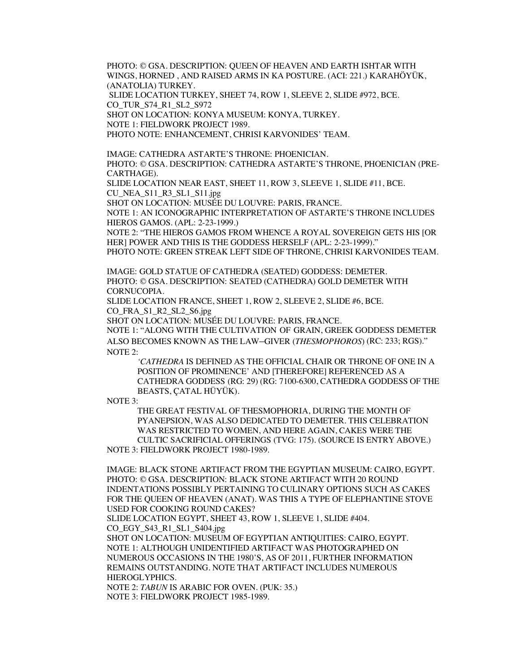PHOTO: © GSA. DESCRIPTION: QUEEN OF HEAVEN AND EARTH ISHTAR WITH WINGS, HORNED , AND RAISED ARMS IN KA POSTURE. (ACI: 221.) KARAHÖYÜK, (ANATOLIA) TURKEY.

SLIDE LOCATION TURKEY, SHEET 74, ROW 1, SLEEVE 2, SLIDE #972, BCE.

CO\_TUR\_S74\_R1\_SL2\_S972

SHOT ON LOCATION: KONYA MUSEUM: KONYA, TURKEY.

NOTE 1: FIELDWORK PROJECT 1989.

PHOTO NOTE: ENHANCEMENT, CHRISI KARVONIDES' TEAM.

IMAGE: CATHEDRA ASTARTE'S THRONE: PHOENICIAN.

PHOTO: © GSA. DESCRIPTION: CATHEDRA ASTARTE'S THRONE, PHOENICIAN (PRE-CARTHAGE).

SLIDE LOCATION NEAR EAST, SHEET 11, ROW 3, SLEEVE 1, SLIDE #11, BCE.

CU\_NEA\_S11\_R3\_SL1\_S11.jpg

SHOT ON LOCATION: MUSÉE DU LOUVRE: PARIS, FRANCE.

NOTE 1: AN ICONOGRAPHIC INTERPRETATION OF ASTARTE'S THRONE INCLUDES HIEROS GAMOS. (APL: 2-23-1999.)

NOTE 2: "THE HIEROS GAMOS FROM WHENCE A ROYAL SOVEREIGN GETS HIS [OR HER] POWER AND THIS IS THE GODDESS HERSELF (APL: 2-23-1999)."

PHOTO NOTE: GREEN STREAK LEFT SIDE OF THRONE, CHRISI KARVONIDES TEAM.

IMAGE: GOLD STATUE OF CATHEDRA (SEATED) GODDESS: DEMETER. PHOTO: © GSA. DESCRIPTION: SEATED (CATHEDRA) GOLD DEMETER WITH CORNUCOPIA.

SLIDE LOCATION FRANCE, SHEET 1, ROW 2, SLEEVE 2, SLIDE #6, BCE. CO\_FRA\_S1\_R2\_SL2\_S6.jpg

SHOT ON LOCATION: MUSÉE DU LOUVRE: PARIS, FRANCE.

NOTE 1: "ALONG WITH THE CULTIVATION OF GRAIN, GREEK GODDESS DEMETER ALSO BECOMES KNOWN AS THE LAW–GIVER (*THESMOPHOROS*) (RC: 233; RGS)." NOTE 2:

*'CATHEDRA* IS DEFINED AS THE OFFICIAL CHAIR OR THRONE OF ONE IN A POSITION OF PROMINENCE' AND [THEREFORE] REFERENCED AS A CATHEDRA GODDESS (RG: 29) (RG: 7100-6300, CATHEDRA GODDESS OF THE BEASTS, ÇATAL HÜYÜK).

NOTE 3:

THE GREAT FESTIVAL OF THESMOPHORIA, DURING THE MONTH OF PYANEPSION, WAS ALSO DEDICATED TO DEMETER. THIS CELEBRATION WAS RESTRICTED TO WOMEN, AND HERE AGAIN, CAKES WERE THE CULTIC SACRIFICIAL OFFERINGS (TVG: 175). (SOURCE IS ENTRY ABOVE.)

NOTE 3: FIELDWORK PROJECT 1980-1989.

IMAGE: BLACK STONE ARTIFACT FROM THE EGYPTIAN MUSEUM: CAIRO, EGYPT. PHOTO: © GSA. DESCRIPTION: BLACK STONE ARTIFACT WITH 20 ROUND INDENTATIONS POSSIBLY PERTAINING TO CULINARY OPTIONS SUCH AS CAKES FOR THE QUEEN OF HEAVEN (ANAT). WAS THIS A TYPE OF ELEPHANTINE STOVE USED FOR COOKING ROUND CAKES?

SLIDE LOCATION EGYPT, SHEET 43, ROW 1, SLEEVE 1, SLIDE #404.

CO\_EGY\_S43\_R1\_SL1\_S404.jpg

SHOT ON LOCATION: MUSEUM OF EGYPTIAN ANTIQUITIES: CAIRO, EGYPT. NOTE 1: ALTHOUGH UNIDENTIFIED ARTIFACT WAS PHOTOGRAPHED ON NUMEROUS OCCASIONS IN THE 1980'S, AS OF 2011, FURTHER INFORMATION REMAINS OUTSTANDING. NOTE THAT ARTIFACT INCLUDES NUMEROUS HIEROGLYPHICS.

NOTE 2: *TABUN* IS ARABIC FOR OVEN. (PUK: 35.) NOTE 3: FIELDWORK PROJECT 1985-1989.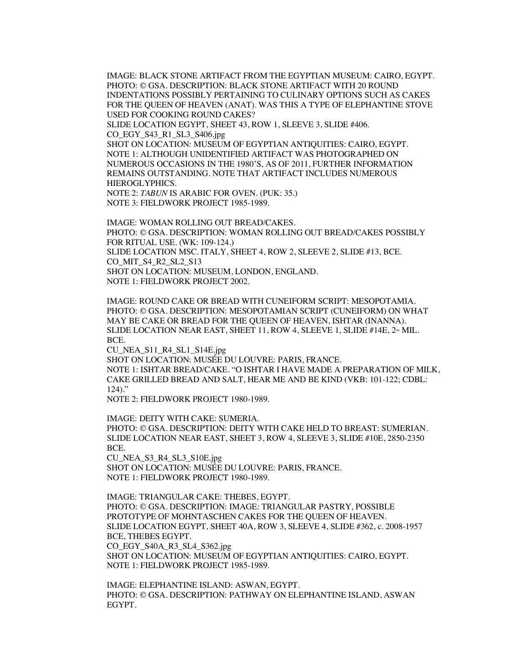IMAGE: BLACK STONE ARTIFACT FROM THE EGYPTIAN MUSEUM: CAIRO, EGYPT. PHOTO: © GSA. DESCRIPTION: BLACK STONE ARTIFACT WITH 20 ROUND INDENTATIONS POSSIBLY PERTAINING TO CULINARY OPTIONS SUCH AS CAKES FOR THE QUEEN OF HEAVEN (ANAT). WAS THIS A TYPE OF ELEPHANTINE STOVE USED FOR COOKING ROUND CAKES?

SLIDE LOCATION EGYPT, SHEET 43, ROW 1, SLEEVE 3, SLIDE #406. CO\_EGY\_S43\_R1\_SL3\_S406.jpg

SHOT ON LOCATION: MUSEUM OF EGYPTIAN ANTIQUITIES: CAIRO, EGYPT. NOTE 1: ALTHOUGH UNIDENTIFIED ARTIFACT WAS PHOTOGRAPHED ON NUMEROUS OCCASIONS IN THE 1980'S, AS OF 2011, FURTHER INFORMATION REMAINS OUTSTANDING. NOTE THAT ARTIFACT INCLUDES NUMEROUS HIEROGLYPHICS.

NOTE 2: *TABUN* IS ARABIC FOR OVEN. (PUK: 35.) NOTE 3: FIELDWORK PROJECT 1985-1989.

IMAGE: WOMAN ROLLING OUT BREAD/CAKES. PHOTO: © GSA. DESCRIPTION: WOMAN ROLLING OUT BREAD/CAKES POSSIBLY FOR RITUAL USE. (WK: 109-124.) SLIDE LOCATION MSC. ITALY, SHEET 4, ROW 2, SLEEVE 2, SLIDE #13, BCE. CO MIT S4 R2 SL2 S13 SHOT ON LOCATION: MUSEUM, LONDON, ENGLAND. NOTE 1: FIELDWORK PROJECT 2002.

IMAGE: ROUND CAKE OR BREAD WITH CUNEIFORM SCRIPT: MESOPOTAMIA. PHOTO: © GSA. DESCRIPTION: MESOPOTAMIAN SCRIPT (CUNEIFORM) ON WHAT MAY BE CAKE OR BREAD FOR THE QUEEN OF HEAVEN, ISHTAR (INANNA). SLIDE LOCATION NEAR EAST, SHEET 11, ROW 4, SLEEVE 1, SLIDE  $#14E$ ,  $2^{\infty}$  MIL. BCE.

CU\_NEA\_S11\_R4\_SL1\_S14E.jpg SHOT ON LOCATION: MUSÉE DU LOUVRE: PARIS, FRANCE. NOTE 1: ISHTAR BREAD/CAKE. "O ISHTAR I HAVE MADE A PREPARATION OF MILK, CAKE GRILLED BREAD AND SALT, HEAR ME AND BE KIND (VKB: 101-122; CDBL: 124)."

NOTE 2: FIELDWORK PROJECT 1980-1989.

IMAGE: DEITY WITH CAKE: SUMERIA. PHOTO: © GSA. DESCRIPTION: DEITY WITH CAKE HELD TO BREAST: SUMERIAN. SLIDE LOCATION NEAR EAST, SHEET 3, ROW 4, SLEEVE 3, SLIDE #10E, 2850-2350 BCE. CU\_NEA\_S3\_R4\_SL3\_S10E.jpg SHOT ON LOCATION: MUSÉE DU LOUVRE: PARIS, FRANCE. NOTE 1: FIELDWORK PROJECT 1980-1989.

IMAGE: TRIANGULAR CAKE: THEBES, EGYPT. PHOTO: © GSA. DESCRIPTION: IMAGE: TRIANGULAR PASTRY, POSSIBLE PROTOTYPE OF MOHNTASCHEN CAKES FOR THE QUEEN OF HEAVEN. SLIDE LOCATION EGYPT, SHEET 40A, ROW 3, SLEEVE 4, SLIDE #362, c. 2008-1957 BCE, THEBES EGYPT. CO\_EGY\_S40A\_R3\_SL4\_S362.jpg SHOT ON LOCATION: MUSEUM OF EGYPTIAN ANTIQUITIES: CAIRO, EGYPT.

NOTE 1: FIELDWORK PROJECT 1985-1989.

IMAGE: ELEPHANTINE ISLAND: ASWAN, EGYPT. PHOTO: © GSA. DESCRIPTION: PATHWAY ON ELEPHANTINE ISLAND, ASWAN EGYPT.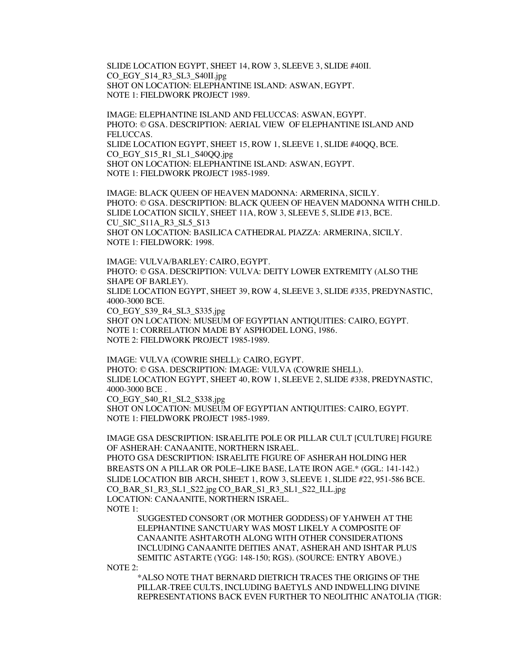SLIDE LOCATION EGYPT, SHEET 14, ROW 3, SLEEVE 3, SLIDE #40II. CO\_EGY\_S14\_R3\_SL3\_S40II.jpg SHOT ON LOCATION: ELEPHANTINE ISLAND: ASWAN, EGYPT. NOTE 1: FIELDWORK PROJECT 1989.

IMAGE: ELEPHANTINE ISLAND AND FELUCCAS: ASWAN, EGYPT. PHOTO: © GSA. DESCRIPTION: AERIAL VIEW OF ELEPHANTINE ISLAND AND FELUCCAS. SLIDE LOCATION EGYPT, SHEET 15, ROW 1, SLEEVE 1, SLIDE #40QQ, BCE. CO\_EGY\_S15\_R1\_SL1\_S40QQ.jpg SHOT ON LOCATION: ELEPHANTINE ISLAND: ASWAN, EGYPT. NOTE 1: FIELDWORK PROJECT 1985-1989.

IMAGE: BLACK QUEEN OF HEAVEN MADONNA: ARMERINA, SICILY. PHOTO: © GSA. DESCRIPTION: BLACK QUEEN OF HEAVEN MADONNA WITH CHILD. SLIDE LOCATION SICILY, SHEET 11A, ROW 3, SLEEVE 5, SLIDE #13, BCE. CU\_SIC\_S11A\_R3\_SL5\_S13 SHOT ON LOCATION: BASILICA CATHEDRAL PIAZZA: ARMERINA, SICILY. NOTE 1: FIELDWORK: 1998.

IMAGE: VULVA/BARLEY: CAIRO, EGYPT. PHOTO: © GSA. DESCRIPTION: VULVA: DEITY LOWER EXTREMITY (ALSO THE SHAPE OF BARLEY). SLIDE LOCATION EGYPT, SHEET 39, ROW 4, SLEEVE 3, SLIDE #335, PREDYNASTIC, 4000-3000 BCE. CO\_EGY\_S39\_R4\_SL3\_S335.jpg SHOT ON LOCATION: MUSEUM OF EGYPTIAN ANTIQUITIES: CAIRO, EGYPT. NOTE 1: CORRELATION MADE BY ASPHODEL LONG, 1986. NOTE 2: FIELDWORK PROJECT 1985-1989.

IMAGE: VULVA (COWRIE SHELL): CAIRO, EGYPT. PHOTO: © GSA. DESCRIPTION: IMAGE: VULVA (COWRIE SHELL). SLIDE LOCATION EGYPT, SHEET 40, ROW 1, SLEEVE 2, SLIDE #338, PREDYNASTIC, 4000-3000 BCE . CO\_EGY\_S40\_R1\_SL2\_S338.jpg SHOT ON LOCATION: MUSEUM OF EGYPTIAN ANTIQUITIES: CAIRO, EGYPT.

NOTE 1: FIELDWORK PROJECT 1985-1989.

IMAGE GSA DESCRIPTION: ISRAELITE POLE OR PILLAR CULT [CULTURE] FIGURE OF ASHERAH: CANAANITE, NORTHERN ISRAEL. PHOTO GSA DESCRIPTION: ISRAELITE FIGURE OF ASHERAH HOLDING HER BREASTS ON A PILLAR OR POLE–LIKE BASE, LATE IRON AGE.\* (GGL: 141-142.) SLIDE LOCATION BIB ARCH, SHEET 1, ROW 3, SLEEVE 1, SLIDE #22, 951-586 BCE. CO\_BAR\_S1\_R3\_SL1\_S22.jpg CO\_BAR\_S1\_R3\_SL1\_S22\_ILL.jpg LOCATION: CANAANITE, NORTHERN ISRAEL. NOTE 1:

SUGGESTED CONSORT (OR MOTHER GODDESS) OF YAHWEH AT THE ELEPHANTINE SANCTUARY WAS MOST LIKELY A COMPOSITE OF CANAANITE ASHTAROTH ALONG WITH OTHER CONSIDERATIONS INCLUDING CANAANITE DEITIES ANAT, ASHERAH AND ISHTAR PLUS SEMITIC ASTARTE (YGG: 148-150; RGS). (SOURCE: ENTRY ABOVE.)

NOTE 2:

\*ALSO NOTE THAT BERNARD DIETRICH TRACES THE ORIGINS OF THE PILLAR-TREE CULTS, INCLUDING BAETYLS AND INDWELLING DIVINE REPRESENTATIONS BACK EVEN FURTHER TO NEOLITHIC ANATOLIA (TIGR: